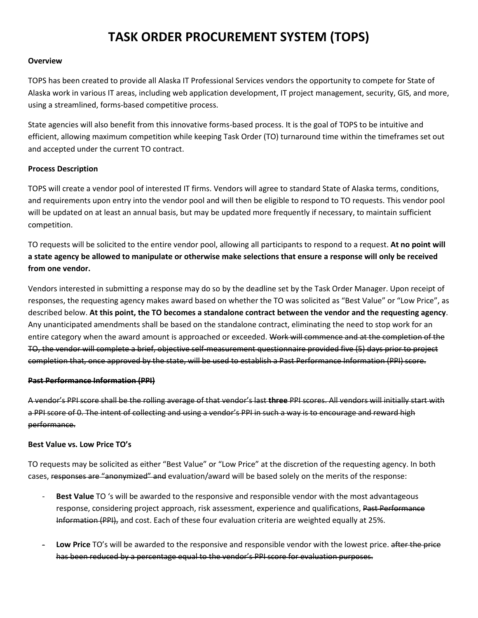# **TASK ORDER PROCUREMENT SYSTEM (TOPS)**

### **Overview**

TOPS has been created to provide all Alaska IT Professional Services vendors the opportunity to compete for State of Alaska work in various IT areas, including web application development, IT project management, security, GIS, and more, using a streamlined, forms-based competitive process.

State agencies will also benefit from this innovative forms-based process. It is the goal of TOPS to be intuitive and efficient, allowing maximum competition while keeping Task Order (TO) turnaround time within the timeframes set out and accepted under the current TO contract.

### **Process Description**

TOPS will create a vendor pool of interested IT firms. Vendors will agree to standard State of Alaska terms, conditions, and requirements upon entry into the vendor pool and will then be eligible to respond to TO requests. This vendor pool will be updated on at least an annual basis, but may be updated more frequently if necessary, to maintain sufficient competition.

TO requests will be solicited to the entire vendor pool, allowing all participants to respond to a request. **At no point will a state agency be allowed to manipulate or otherwise make selections that ensure a response will only be received from one vendor.**

Vendors interested in submitting a response may do so by the deadline set by the Task Order Manager. Upon receipt of responses, the requesting agency makes award based on whether the TO was solicited as "Best Value" or "Low Price", as described below. **At this point, the TO becomes a standalone contract between the vendor and the requesting agency**. Any unanticipated amendments shall be based on the standalone contract, eliminating the need to stop work for an entire category when the award amount is approached or exceeded. Work will commence and at the completion of the TO, the vendor will complete a brief, objective self-measurement questionnaire provided five (5) days prior to project completion that, once approved by the state, will be used to establish a Past Performance Information (PPI) score.

### **Past Performance Information (PPI)**

A vendor's PPI score shall be the rolling average of that vendor's last **three** PPI scores. All vendors will initially start with a PPI score of 0. The intent of collecting and using a vendor's PPI in such a way is to encourage and reward high performance.

### **Best Value vs. Low Price TO's**

TO requests may be solicited as either "Best Value" or "Low Price" at the discretion of the requesting agency. In both cases, responses are "anonymized" and evaluation/award will be based solely on the merits of the response:

- **Best Value** TO 's will be awarded to the responsive and responsible vendor with the most advantageous response, considering project approach, risk assessment, experience and qualifications, Past Performance Information (PPI), and cost. Each of these four evaluation criteria are weighted equally at 25%.
- Low Price TO's will be awarded to the responsive and responsible vendor with the lowest price. after the price has been reduced by a percentage equal to the vendor's PPI score for evaluation purposes.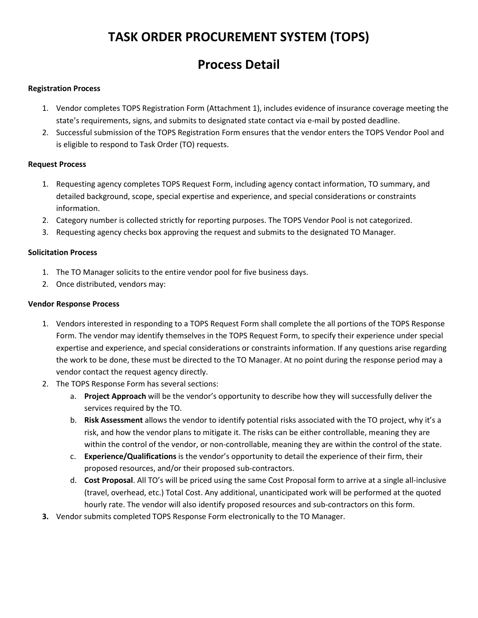# **TASK ORDER PROCUREMENT SYSTEM (TOPS)**

# **Process Detail**

## **Registration Process**

- 1. Vendor completes TOPS Registration Form (Attachment 1), includes evidence of insurance coverage meeting the state's requirements, signs, and submits to designated state contact via e-mail by posted deadline.
- 2. Successful submission of the TOPS Registration Form ensures that the vendor enters the TOPS Vendor Pool and is eligible to respond to Task Order (TO) requests.

## **Request Process**

- 1. Requesting agency completes TOPS Request Form, including agency contact information, TO summary, and detailed background, scope, special expertise and experience, and special considerations or constraints information.
- 2. Category number is collected strictly for reporting purposes. The TOPS Vendor Pool is not categorized.
- 3. Requesting agency checks box approving the request and submits to the designated TO Manager.

## **Solicitation Process**

- 1. The TO Manager solicits to the entire vendor pool for five business days.
- 2. Once distributed, vendors may:

## **Vendor Response Process**

- 1. Vendors interested in responding to a TOPS Request Form shall complete the all portions of the TOPS Response Form. The vendor may identify themselves in the TOPS Request Form, to specify their experience under special expertise and experience, and special considerations or constraints information. If any questions arise regarding the work to be done, these must be directed to the TO Manager. At no point during the response period may a vendor contact the request agency directly.
- 2. The TOPS Response Form has several sections:
	- a. **Project Approach** will be the vendor's opportunity to describe how they will successfully deliver the services required by the TO.
	- b. **Risk Assessment** allows the vendor to identify potential risks associated with the TO project, why it's a risk, and how the vendor plans to mitigate it. The risks can be either controllable, meaning they are within the control of the vendor, or non-controllable, meaning they are within the control of the state.
	- c. **Experience/Qualifications** is the vendor's opportunity to detail the experience of their firm, their proposed resources, and/or their proposed sub-contractors.
	- d. **Cost Proposal**. All TO's will be priced using the same Cost Proposal form to arrive at a single all-inclusive (travel, overhead, etc.) Total Cost. Any additional, unanticipated work will be performed at the quoted hourly rate. The vendor will also identify proposed resources and sub-contractors on this form.
- **3.** Vendor submits completed TOPS Response Form electronically to the TO Manager.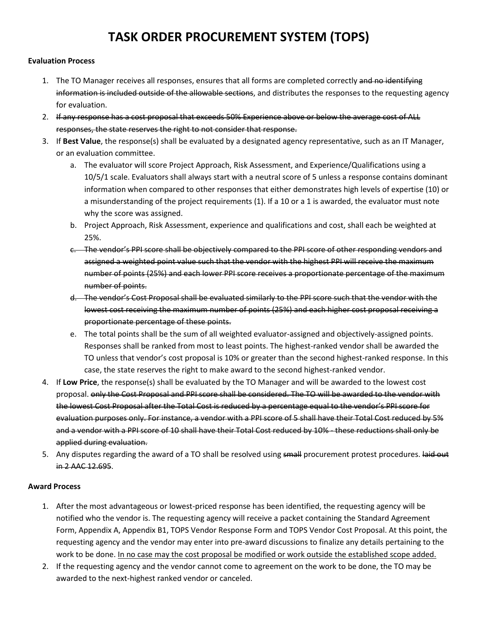# **TASK ORDER PROCUREMENT SYSTEM (TOPS)**

## **Evaluation Process**

- 1. The TO Manager receives all responses, ensures that all forms are completed correctly and no identifying information is included outside of the allowable sections, and distributes the responses to the requesting agency for evaluation.
- 2. If any response has a cost proposal that exceeds 50% Experience above or below the average cost of ALL responses, the state reserves the right to not consider that response.
- 3. If **Best Value**, the response(s) shall be evaluated by a designated agency representative, such as an IT Manager, or an evaluation committee.
	- a. The evaluator will score Project Approach, Risk Assessment, and Experience/Qualifications using a 10/5/1 scale. Evaluators shall always start with a neutral score of 5 unless a response contains dominant information when compared to other responses that either demonstrates high levels of expertise (10) or a misunderstanding of the project requirements (1). If a 10 or a 1 is awarded, the evaluator must note why the score was assigned.
	- b. Project Approach, Risk Assessment, experience and qualifications and cost, shall each be weighted at 25%.
	- c. The vendor's PPI score shall be objectively compared to the PPI score of other responding vendors and assigned a weighted point value such that the vendor with the highest PPI will receive the maximum number of points (25%) and each lower PPI score receives a proportionate percentage of the maximum number of points.
	- d. The vendor's Cost Proposal shall be evaluated similarly to the PPI score such that the vendor with the lowest cost receiving the maximum number of points (25%) and each higher cost proposal receiving a proportionate percentage of these points.
	- e. The total points shall be the sum of all weighted evaluator-assigned and objectively-assigned points. Responses shall be ranked from most to least points. The highest-ranked vendor shall be awarded the TO unless that vendor's cost proposal is 10% or greater than the second highest-ranked response. In this case, the state reserves the right to make award to the second highest-ranked vendor.
- 4. If **Low Price**, the response(s) shall be evaluated by the TO Manager and will be awarded to the lowest cost proposal. only the Cost Proposal and PPI score shall be considered. The TO will be awarded to the vendor with the lowest Cost Proposal after the Total Cost is reduced by a percentage equal to the vendor's PPI score for evaluation purposes only. For instance, a vendor with a PPI score of 5 shall have their Total Cost reduced by 5% and a vendor with a PPI score of 10 shall have their Total Cost reduced by 10% - these reductions shall only be applied during evaluation.
- 5. Any disputes regarding the award of a TO shall be resolved using small procurement protest procedures. laid out in 2 AAC 12.695.

### **Award Process**

- 1. After the most advantageous or lowest-priced response has been identified, the requesting agency will be notified who the vendor is. The requesting agency will receive a packet containing the Standard Agreement Form, Appendix A, Appendix B1, TOPS Vendor Response Form and TOPS Vendor Cost Proposal. At this point, the requesting agency and the vendor may enter into pre-award discussions to finalize any details pertaining to the work to be done. In no case may the cost proposal be modified or work outside the established scope added.
- 2. If the requesting agency and the vendor cannot come to agreement on the work to be done, the TO may be awarded to the next-highest ranked vendor or canceled.